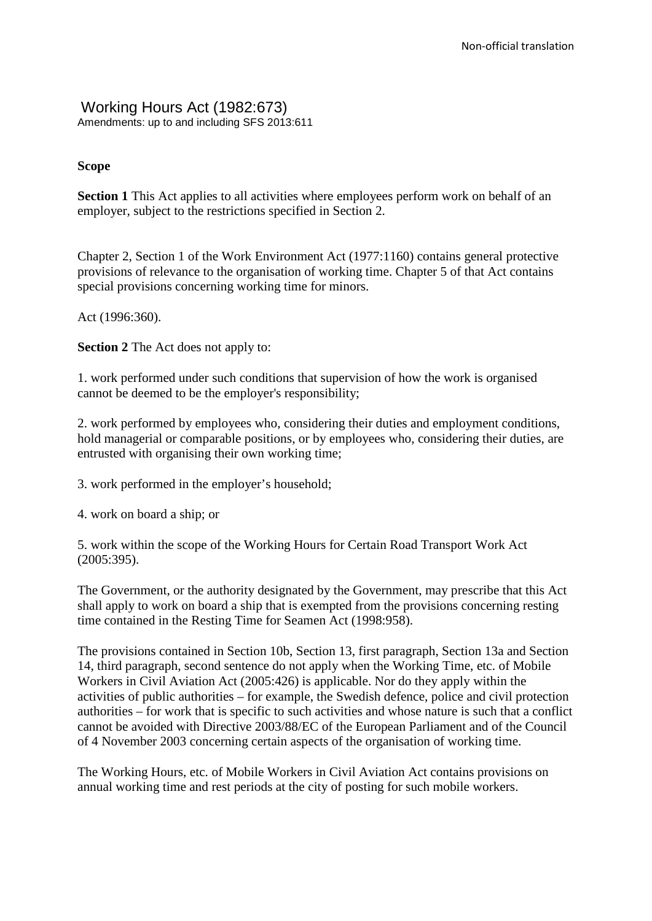# Working Hours Act (1982:673)

Amendments: up to and including SFS 2013:611

# **Scope**

**Section 1** This Act applies to all activities where employees perform work on behalf of an employer, subject to the restrictions specified in Section 2.

Chapter 2, Section 1 of the Work Environment Act (1977:1160) contains general protective provisions of relevance to the organisation of working time. Chapter 5 of that Act contains special provisions concerning working time for minors.

Act (1996:360).

**Section 2** The Act does not apply to:

1. work performed under such conditions that supervision of how the work is organised cannot be deemed to be the employer's responsibility;

2. work performed by employees who, considering their duties and employment conditions, hold managerial or comparable positions, or by employees who, considering their duties, are entrusted with organising their own working time;

3. work performed in the employer's household;

4. work on board a ship; or

5. work within the scope of the Working Hours for Certain Road Transport Work Act (2005:395).

The Government, or the authority designated by the Government, may prescribe that this Act shall apply to work on board a ship that is exempted from the provisions concerning resting time contained in the Resting Time for Seamen Act (1998:958).

The provisions contained in Section 10b, Section 13, first paragraph, Section 13a and Section 14, third paragraph, second sentence do not apply when the Working Time, etc. of Mobile Workers in Civil Aviation Act (2005:426) is applicable. Nor do they apply within the activities of public authorities – for example, the Swedish defence, police and civil protection authorities – for work that is specific to such activities and whose nature is such that a conflict cannot be avoided with Directive 2003/88/EC of the European Parliament and of the Council of 4 November 2003 concerning certain aspects of the organisation of working time.

The Working Hours, etc. of Mobile Workers in Civil Aviation Act contains provisions on annual working time and rest periods at the city of posting for such mobile workers.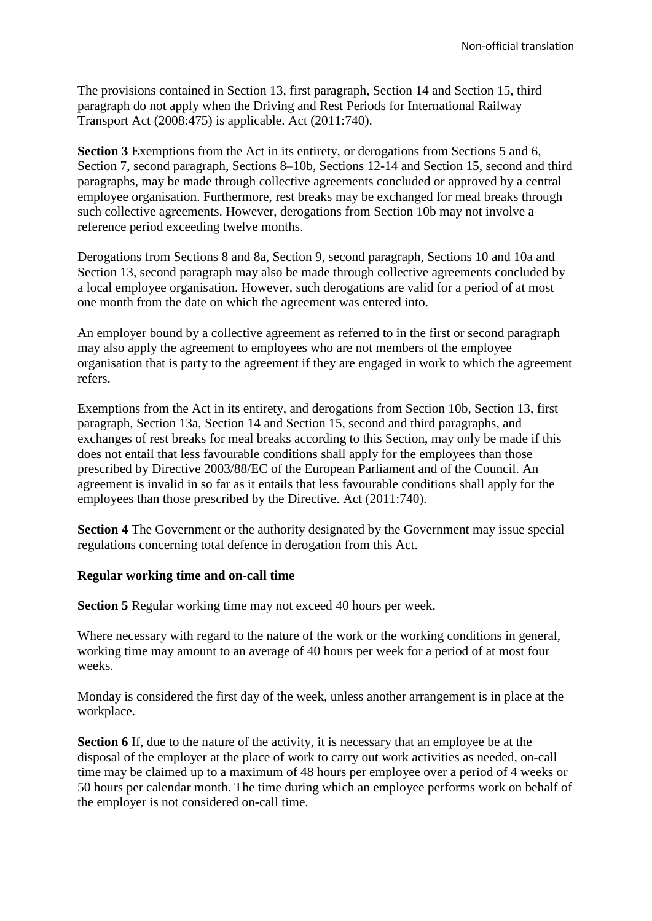The provisions contained in Section 13, first paragraph, Section 14 and Section 15, third paragraph do not apply when the Driving and Rest Periods for International Railway Transport Act (2008:475) is applicable. Act (2011:740).

**Section 3** Exemptions from the Act in its entirety, or derogations from Sections 5 and 6, Section 7, second paragraph, Sections 8–10b, Sections 12-14 and Section 15, second and third paragraphs, may be made through collective agreements concluded or approved by a central employee organisation. Furthermore, rest breaks may be exchanged for meal breaks through such collective agreements. However, derogations from Section 10b may not involve a reference period exceeding twelve months.

Derogations from Sections 8 and 8a, Section 9, second paragraph, Sections 10 and 10a and Section 13, second paragraph may also be made through collective agreements concluded by a local employee organisation. However, such derogations are valid for a period of at most one month from the date on which the agreement was entered into.

An employer bound by a collective agreement as referred to in the first or second paragraph may also apply the agreement to employees who are not members of the employee organisation that is party to the agreement if they are engaged in work to which the agreement refers.

Exemptions from the Act in its entirety, and derogations from Section 10b, Section 13, first paragraph, Section 13a, Section 14 and Section 15, second and third paragraphs, and exchanges of rest breaks for meal breaks according to this Section, may only be made if this does not entail that less favourable conditions shall apply for the employees than those prescribed by Directive 2003/88/EC of the European Parliament and of the Council. An agreement is invalid in so far as it entails that less favourable conditions shall apply for the employees than those prescribed by the Directive. Act (2011:740).

**Section 4** The Government or the authority designated by the Government may issue special regulations concerning total defence in derogation from this Act.

# **Regular working time and on-call time**

**Section 5** Regular working time may not exceed 40 hours per week.

Where necessary with regard to the nature of the work or the working conditions in general, working time may amount to an average of 40 hours per week for a period of at most four weeks.

Monday is considered the first day of the week, unless another arrangement is in place at the workplace.

**Section 6** If, due to the nature of the activity, it is necessary that an employee be at the disposal of the employer at the place of work to carry out work activities as needed, on-call time may be claimed up to a maximum of 48 hours per employee over a period of 4 weeks or 50 hours per calendar month. The time during which an employee performs work on behalf of the employer is not considered on-call time.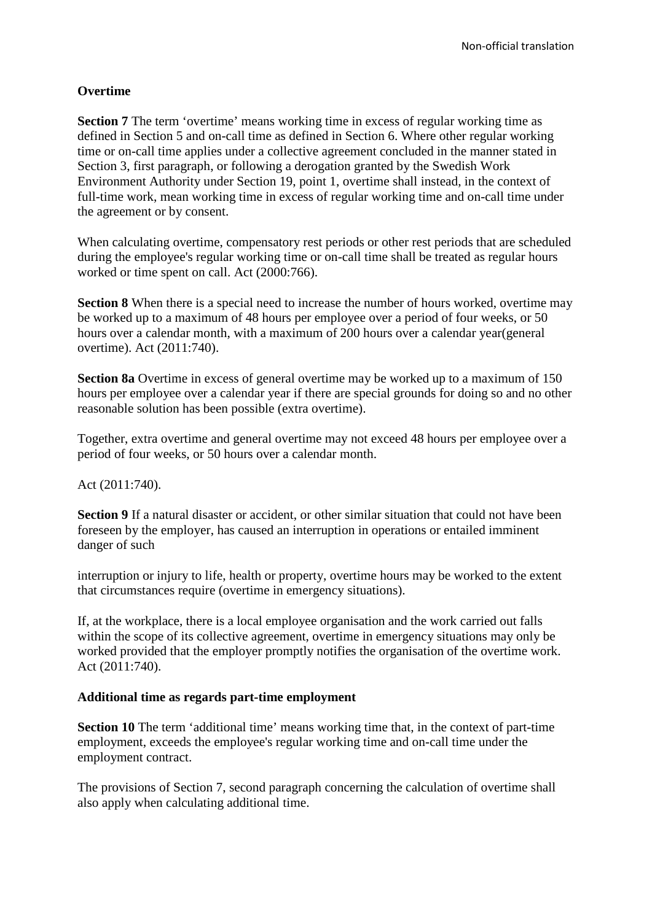# **Overtime**

**Section 7** The term 'overtime' means working time in excess of regular working time as defined in Section 5 and on-call time as defined in Section 6. Where other regular working time or on-call time applies under a collective agreement concluded in the manner stated in Section 3, first paragraph, or following a derogation granted by the Swedish Work Environment Authority under Section 19, point 1, overtime shall instead, in the context of full-time work, mean working time in excess of regular working time and on-call time under the agreement or by consent.

When calculating overtime, compensatory rest periods or other rest periods that are scheduled during the employee's regular working time or on-call time shall be treated as regular hours worked or time spent on call. Act (2000:766).

**Section 8** When there is a special need to increase the number of hours worked, overtime may be worked up to a maximum of 48 hours per employee over a period of four weeks, or 50 hours over a calendar month, with a maximum of 200 hours over a calendar year(general overtime). Act (2011:740).

**Section 8a** Overtime in excess of general overtime may be worked up to a maximum of 150 hours per employee over a calendar year if there are special grounds for doing so and no other reasonable solution has been possible (extra overtime).

Together, extra overtime and general overtime may not exceed 48 hours per employee over a period of four weeks, or 50 hours over a calendar month.

Act (2011:740).

**Section 9** If a natural disaster or accident, or other similar situation that could not have been foreseen by the employer, has caused an interruption in operations or entailed imminent danger of such

interruption or injury to life, health or property, overtime hours may be worked to the extent that circumstances require (overtime in emergency situations).

If, at the workplace, there is a local employee organisation and the work carried out falls within the scope of its collective agreement, overtime in emergency situations may only be worked provided that the employer promptly notifies the organisation of the overtime work. Act (2011:740).

### **Additional time as regards part-time employment**

**Section 10** The term 'additional time' means working time that, in the context of part-time employment, exceeds the employee's regular working time and on-call time under the employment contract.

The provisions of Section 7, second paragraph concerning the calculation of overtime shall also apply when calculating additional time.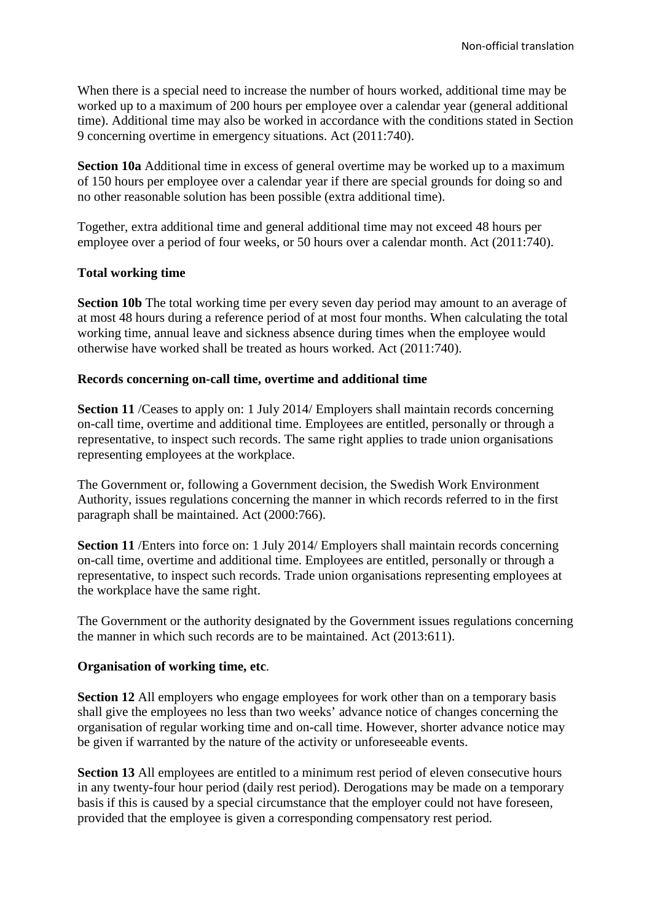When there is a special need to increase the number of hours worked, additional time may be worked up to a maximum of 200 hours per employee over a calendar year (general additional time). Additional time may also be worked in accordance with the conditions stated in Section 9 concerning overtime in emergency situations. Act (2011:740).

**Section 10a** Additional time in excess of general overtime may be worked up to a maximum of 150 hours per employee over a calendar year if there are special grounds for doing so and no other reasonable solution has been possible (extra additional time).

Together, extra additional time and general additional time may not exceed 48 hours per employee over a period of four weeks, or 50 hours over a calendar month. Act (2011:740).

# **Total working time**

**Section 10b** The total working time per every seven day period may amount to an average of at most 48 hours during a reference period of at most four months. When calculating the total working time, annual leave and sickness absence during times when the employee would otherwise have worked shall be treated as hours worked. Act (2011:740).

### **Records concerning on-call time, overtime and additional time**

**Section 11** /Ceases to apply on: 1 July 2014/ Employers shall maintain records concerning on-call time, overtime and additional time. Employees are entitled, personally or through a representative, to inspect such records. The same right applies to trade union organisations representing employees at the workplace.

The Government or, following a Government decision, the Swedish Work Environment Authority, issues regulations concerning the manner in which records referred to in the first paragraph shall be maintained. Act (2000:766).

**Section 11** /Enters into force on: 1 July 2014/ Employers shall maintain records concerning on-call time, overtime and additional time. Employees are entitled, personally or through a representative, to inspect such records. Trade union organisations representing employees at the workplace have the same right.

The Government or the authority designated by the Government issues regulations concerning the manner in which such records are to be maintained. Act (2013:611).

# **Organisation of working time, etc**.

**Section 12** All employers who engage employees for work other than on a temporary basis shall give the employees no less than two weeks' advance notice of changes concerning the organisation of regular working time and on-call time. However, shorter advance notice may be given if warranted by the nature of the activity or unforeseeable events.

**Section 13** All employees are entitled to a minimum rest period of eleven consecutive hours in any twenty-four hour period (daily rest period). Derogations may be made on a temporary basis if this is caused by a special circumstance that the employer could not have foreseen, provided that the employee is given a corresponding compensatory rest period.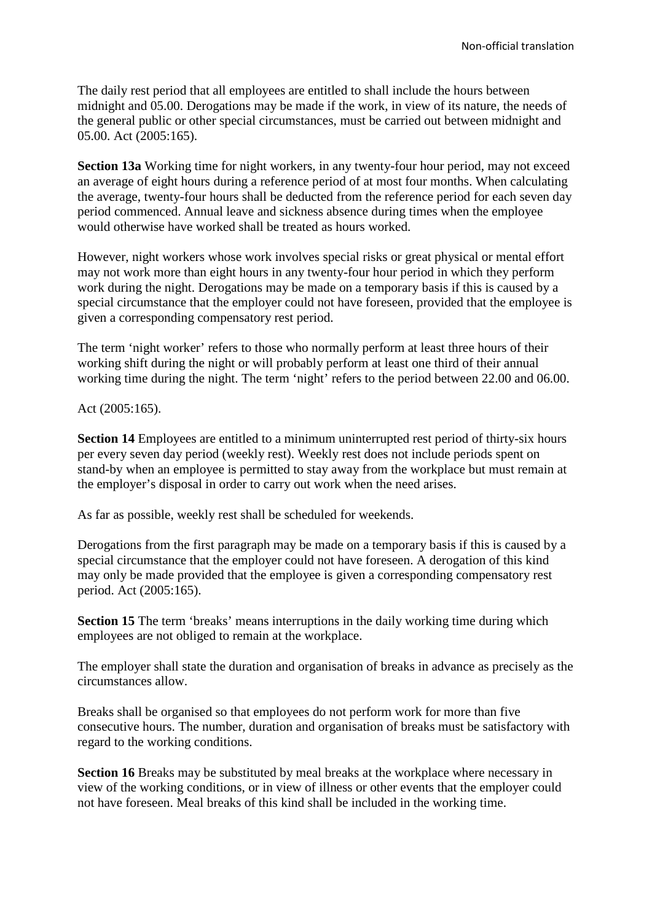The daily rest period that all employees are entitled to shall include the hours between midnight and 05.00. Derogations may be made if the work, in view of its nature, the needs of the general public or other special circumstances, must be carried out between midnight and 05.00. Act (2005:165).

**Section 13a** Working time for night workers, in any twenty-four hour period, may not exceed an average of eight hours during a reference period of at most four months. When calculating the average, twenty-four hours shall be deducted from the reference period for each seven day period commenced. Annual leave and sickness absence during times when the employee would otherwise have worked shall be treated as hours worked.

However, night workers whose work involves special risks or great physical or mental effort may not work more than eight hours in any twenty-four hour period in which they perform work during the night. Derogations may be made on a temporary basis if this is caused by a special circumstance that the employer could not have foreseen, provided that the employee is given a corresponding compensatory rest period.

The term 'night worker' refers to those who normally perform at least three hours of their working shift during the night or will probably perform at least one third of their annual working time during the night. The term 'night' refers to the period between 22.00 and 06.00.

Act (2005:165).

**Section 14** Employees are entitled to a minimum uninterrupted rest period of thirty-six hours per every seven day period (weekly rest). Weekly rest does not include periods spent on stand-by when an employee is permitted to stay away from the workplace but must remain at the employer's disposal in order to carry out work when the need arises.

As far as possible, weekly rest shall be scheduled for weekends.

Derogations from the first paragraph may be made on a temporary basis if this is caused by a special circumstance that the employer could not have foreseen. A derogation of this kind may only be made provided that the employee is given a corresponding compensatory rest period. Act (2005:165).

**Section 15** The term 'breaks' means interruptions in the daily working time during which employees are not obliged to remain at the workplace.

The employer shall state the duration and organisation of breaks in advance as precisely as the circumstances allow.

Breaks shall be organised so that employees do not perform work for more than five consecutive hours. The number, duration and organisation of breaks must be satisfactory with regard to the working conditions.

**Section 16** Breaks may be substituted by meal breaks at the workplace where necessary in view of the working conditions, or in view of illness or other events that the employer could not have foreseen. Meal breaks of this kind shall be included in the working time.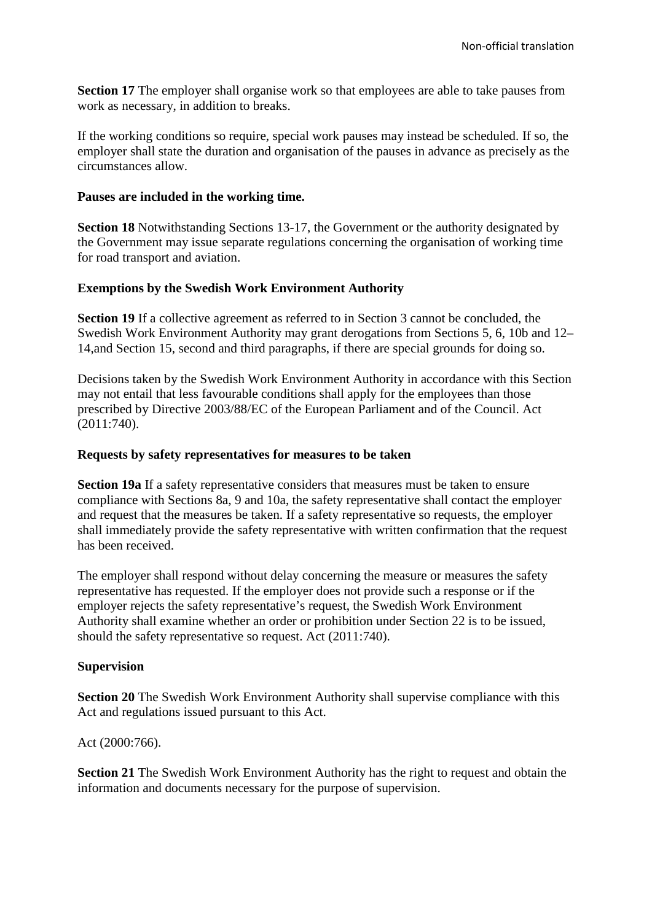**Section 17** The employer shall organise work so that employees are able to take pauses from work as necessary, in addition to breaks.

If the working conditions so require, special work pauses may instead be scheduled. If so, the employer shall state the duration and organisation of the pauses in advance as precisely as the circumstances allow.

### **Pauses are included in the working time.**

**Section 18** Notwithstanding Sections 13-17, the Government or the authority designated by the Government may issue separate regulations concerning the organisation of working time for road transport and aviation.

# **Exemptions by the Swedish Work Environment Authority**

**Section 19** If a collective agreement as referred to in Section 3 cannot be concluded, the Swedish Work Environment Authority may grant derogations from Sections 5, 6, 10b and 12– 14,and Section 15, second and third paragraphs, if there are special grounds for doing so.

Decisions taken by the Swedish Work Environment Authority in accordance with this Section may not entail that less favourable conditions shall apply for the employees than those prescribed by Directive 2003/88/EC of the European Parliament and of the Council. Act (2011:740).

### **Requests by safety representatives for measures to be taken**

**Section 19a** If a safety representative considers that measures must be taken to ensure compliance with Sections 8a, 9 and 10a, the safety representative shall contact the employer and request that the measures be taken. If a safety representative so requests, the employer shall immediately provide the safety representative with written confirmation that the request has been received.

The employer shall respond without delay concerning the measure or measures the safety representative has requested. If the employer does not provide such a response or if the employer rejects the safety representative's request, the Swedish Work Environment Authority shall examine whether an order or prohibition under Section 22 is to be issued, should the safety representative so request. Act (2011:740).

### **Supervision**

**Section 20** The Swedish Work Environment Authority shall supervise compliance with this Act and regulations issued pursuant to this Act.

Act (2000:766).

**Section 21** The Swedish Work Environment Authority has the right to request and obtain the information and documents necessary for the purpose of supervision.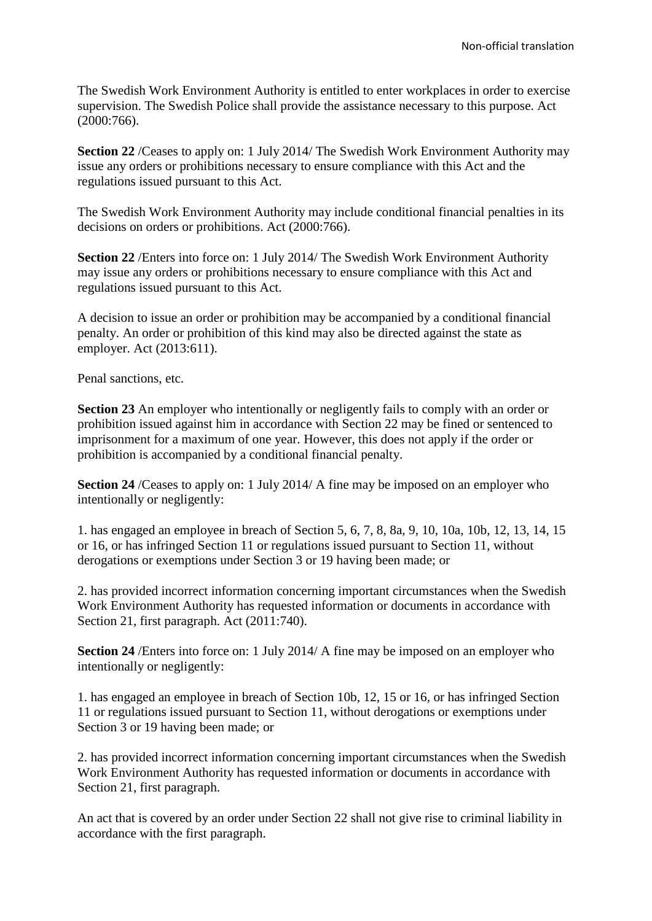The Swedish Work Environment Authority is entitled to enter workplaces in order to exercise supervision. The Swedish Police shall provide the assistance necessary to this purpose. Act (2000:766).

**Section 22** /Ceases to apply on: 1 July 2014/ The Swedish Work Environment Authority may issue any orders or prohibitions necessary to ensure compliance with this Act and the regulations issued pursuant to this Act.

The Swedish Work Environment Authority may include conditional financial penalties in its decisions on orders or prohibitions. Act (2000:766).

**Section 22** /Enters into force on: 1 July 2014/ The Swedish Work Environment Authority may issue any orders or prohibitions necessary to ensure compliance with this Act and regulations issued pursuant to this Act.

A decision to issue an order or prohibition may be accompanied by a conditional financial penalty. An order or prohibition of this kind may also be directed against the state as employer. Act (2013:611).

Penal sanctions, etc.

**Section 23** An employer who intentionally or negligently fails to comply with an order or prohibition issued against him in accordance with Section 22 may be fined or sentenced to imprisonment for a maximum of one year. However, this does not apply if the order or prohibition is accompanied by a conditional financial penalty.

**Section 24** /Ceases to apply on: 1 July 2014/ A fine may be imposed on an employer who intentionally or negligently:

1. has engaged an employee in breach of Section 5, 6, 7, 8, 8a, 9, 10, 10a, 10b, 12, 13, 14, 15 or 16, or has infringed Section 11 or regulations issued pursuant to Section 11, without derogations or exemptions under Section 3 or 19 having been made; or

2. has provided incorrect information concerning important circumstances when the Swedish Work Environment Authority has requested information or documents in accordance with Section 21, first paragraph. Act (2011:740).

**Section 24** /Enters into force on: 1 July 2014/ A fine may be imposed on an employer who intentionally or negligently:

1. has engaged an employee in breach of Section 10b, 12, 15 or 16, or has infringed Section 11 or regulations issued pursuant to Section 11, without derogations or exemptions under Section 3 or 19 having been made; or

2. has provided incorrect information concerning important circumstances when the Swedish Work Environment Authority has requested information or documents in accordance with Section 21, first paragraph.

An act that is covered by an order under Section 22 shall not give rise to criminal liability in accordance with the first paragraph.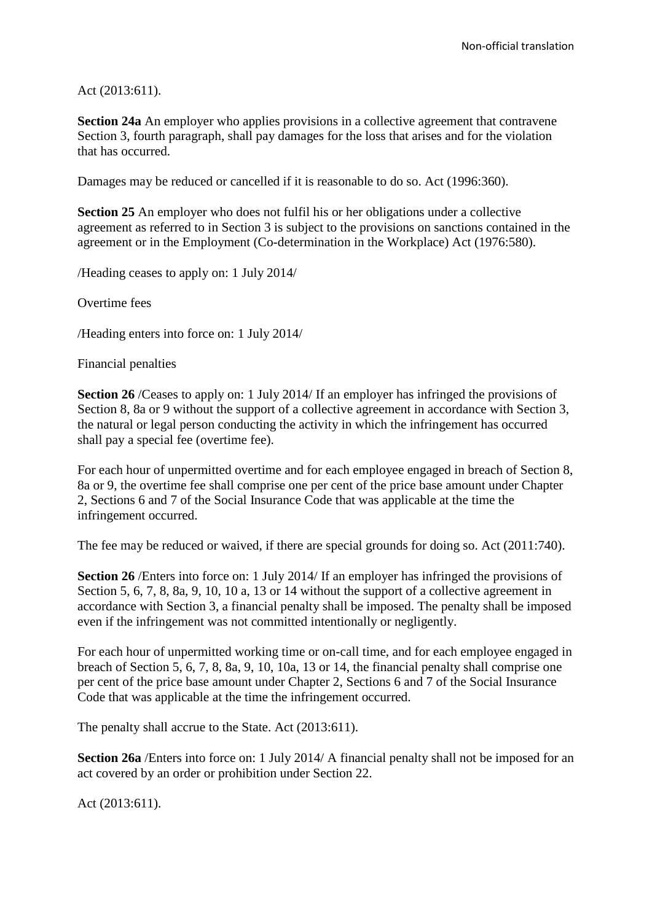Act (2013:611).

**Section 24a** An employer who applies provisions in a collective agreement that contravene Section 3, fourth paragraph, shall pay damages for the loss that arises and for the violation that has occurred.

Damages may be reduced or cancelled if it is reasonable to do so. Act (1996:360).

**Section 25** An employer who does not fulfil his or her obligations under a collective agreement as referred to in Section 3 is subject to the provisions on sanctions contained in the agreement or in the Employment (Co-determination in the Workplace) Act (1976:580).

/Heading ceases to apply on: 1 July 2014/

Overtime fees

/Heading enters into force on: 1 July 2014/

Financial penalties

**Section 26** /Ceases to apply on: 1 July 2014/ If an employer has infringed the provisions of Section 8, 8a or 9 without the support of a collective agreement in accordance with Section 3, the natural or legal person conducting the activity in which the infringement has occurred shall pay a special fee (overtime fee).

For each hour of unpermitted overtime and for each employee engaged in breach of Section 8, 8a or 9, the overtime fee shall comprise one per cent of the price base amount under Chapter 2, Sections 6 and 7 of the Social Insurance Code that was applicable at the time the infringement occurred.

The fee may be reduced or waived, if there are special grounds for doing so. Act (2011:740).

**Section 26** /Enters into force on: 1 July 2014/ If an employer has infringed the provisions of Section 5, 6, 7, 8, 8a, 9, 10, 10 a, 13 or 14 without the support of a collective agreement in accordance with Section 3, a financial penalty shall be imposed. The penalty shall be imposed even if the infringement was not committed intentionally or negligently.

For each hour of unpermitted working time or on-call time, and for each employee engaged in breach of Section 5, 6, 7, 8, 8a, 9, 10, 10a, 13 or 14, the financial penalty shall comprise one per cent of the price base amount under Chapter 2, Sections 6 and 7 of the Social Insurance Code that was applicable at the time the infringement occurred.

The penalty shall accrue to the State. Act (2013:611).

**Section 26a** /Enters into force on: 1 July 2014/ A financial penalty shall not be imposed for an act covered by an order or prohibition under Section 22.

Act (2013:611).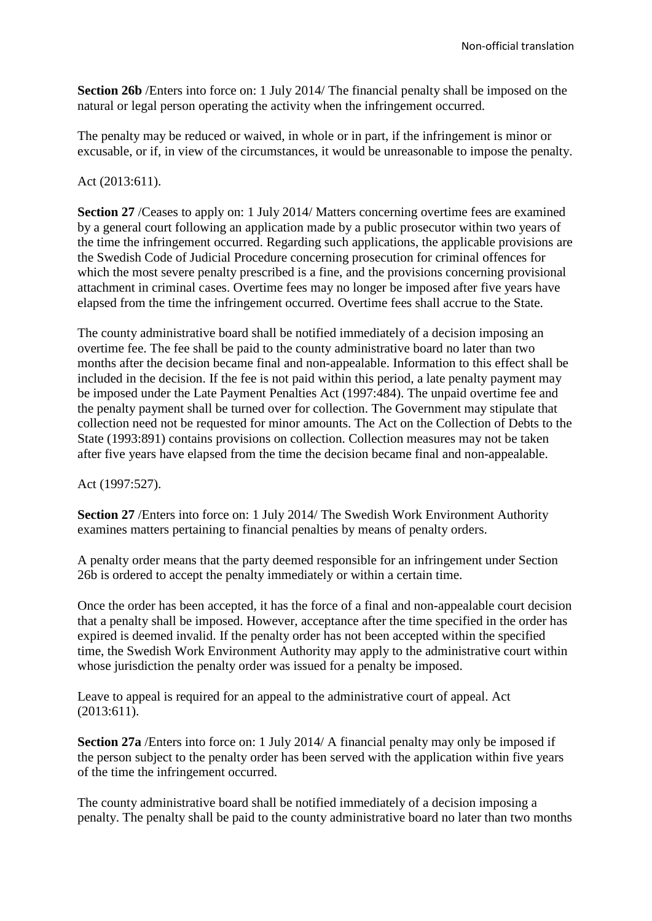**Section 26b** /Enters into force on: 1 July 2014/ The financial penalty shall be imposed on the natural or legal person operating the activity when the infringement occurred.

The penalty may be reduced or waived, in whole or in part, if the infringement is minor or excusable, or if, in view of the circumstances, it would be unreasonable to impose the penalty.

## Act (2013:611).

**Section 27** /Ceases to apply on: 1 July 2014/ Matters concerning overtime fees are examined by a general court following an application made by a public prosecutor within two years of the time the infringement occurred. Regarding such applications, the applicable provisions are the Swedish Code of Judicial Procedure concerning prosecution for criminal offences for which the most severe penalty prescribed is a fine, and the provisions concerning provisional attachment in criminal cases. Overtime fees may no longer be imposed after five years have elapsed from the time the infringement occurred. Overtime fees shall accrue to the State.

The county administrative board shall be notified immediately of a decision imposing an overtime fee. The fee shall be paid to the county administrative board no later than two months after the decision became final and non-appealable. Information to this effect shall be included in the decision. If the fee is not paid within this period, a late penalty payment may be imposed under the Late Payment Penalties Act (1997:484). The unpaid overtime fee and the penalty payment shall be turned over for collection. The Government may stipulate that collection need not be requested for minor amounts. The Act on the Collection of Debts to the State (1993:891) contains provisions on collection. Collection measures may not be taken after five years have elapsed from the time the decision became final and non-appealable.

Act (1997:527).

**Section 27** /Enters into force on: 1 July 2014/ The Swedish Work Environment Authority examines matters pertaining to financial penalties by means of penalty orders.

A penalty order means that the party deemed responsible for an infringement under Section 26b is ordered to accept the penalty immediately or within a certain time.

Once the order has been accepted, it has the force of a final and non-appealable court decision that a penalty shall be imposed. However, acceptance after the time specified in the order has expired is deemed invalid. If the penalty order has not been accepted within the specified time, the Swedish Work Environment Authority may apply to the administrative court within whose jurisdiction the penalty order was issued for a penalty be imposed.

Leave to appeal is required for an appeal to the administrative court of appeal. Act (2013:611).

**Section 27a** /Enters into force on: 1 July 2014/ A financial penalty may only be imposed if the person subject to the penalty order has been served with the application within five years of the time the infringement occurred.

The county administrative board shall be notified immediately of a decision imposing a penalty. The penalty shall be paid to the county administrative board no later than two months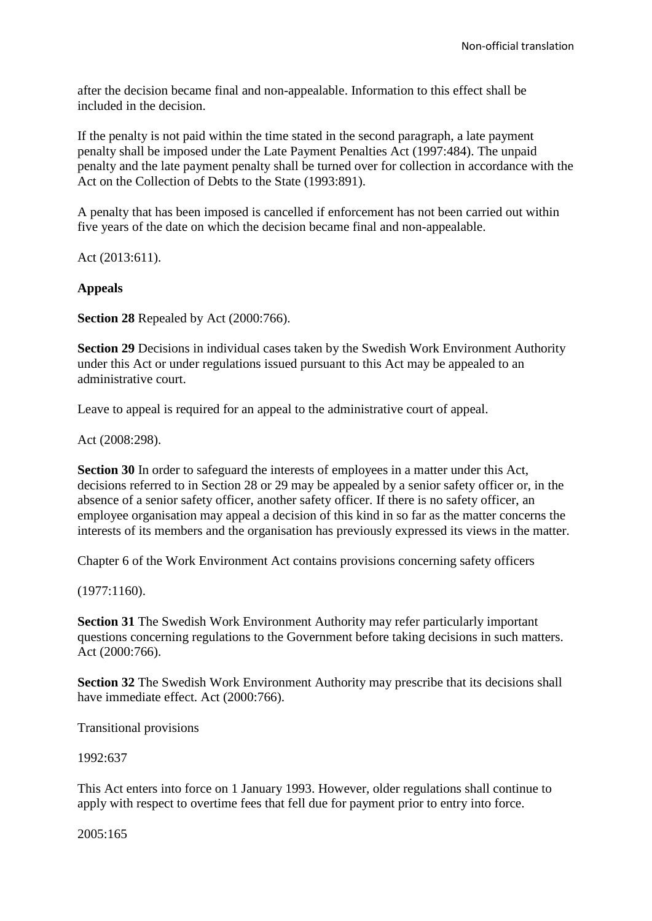after the decision became final and non-appealable. Information to this effect shall be included in the decision.

If the penalty is not paid within the time stated in the second paragraph, a late payment penalty shall be imposed under the Late Payment Penalties Act (1997:484). The unpaid penalty and the late payment penalty shall be turned over for collection in accordance with the Act on the Collection of Debts to the State (1993:891).

A penalty that has been imposed is cancelled if enforcement has not been carried out within five years of the date on which the decision became final and non-appealable.

Act (2013:611).

## **Appeals**

**Section 28** Repealed by Act (2000:766).

**Section 29** Decisions in individual cases taken by the Swedish Work Environment Authority under this Act or under regulations issued pursuant to this Act may be appealed to an administrative court.

Leave to appeal is required for an appeal to the administrative court of appeal.

Act (2008:298).

**Section 30** In order to safeguard the interests of employees in a matter under this Act, decisions referred to in Section 28 or 29 may be appealed by a senior safety officer or, in the absence of a senior safety officer, another safety officer. If there is no safety officer, an employee organisation may appeal a decision of this kind in so far as the matter concerns the interests of its members and the organisation has previously expressed its views in the matter.

Chapter 6 of the Work Environment Act contains provisions concerning safety officers

(1977:1160).

**Section 31** The Swedish Work Environment Authority may refer particularly important questions concerning regulations to the Government before taking decisions in such matters. Act (2000:766).

**Section 32** The Swedish Work Environment Authority may prescribe that its decisions shall have immediate effect. Act (2000:766).

Transitional provisions

### 1992:637

This Act enters into force on 1 January 1993. However, older regulations shall continue to apply with respect to overtime fees that fell due for payment prior to entry into force.

2005:165